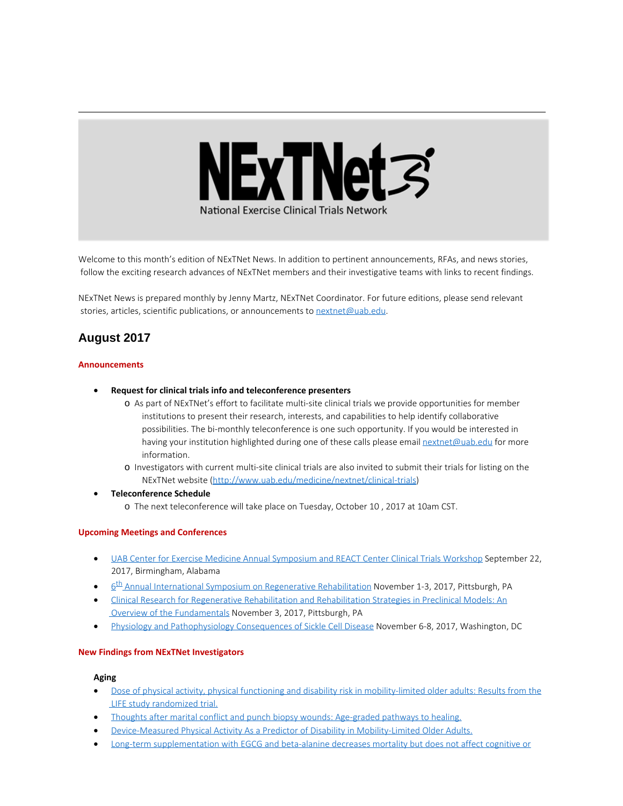

Welcome to this month's edition of NExTNet News. In addition to pertinent announcements, RFAs, and news stories, follow the exciting research advances of NExTNet members and their investigative teams with links to recent findings.

NExTNet News is prepared monthly by Jenny Martz, NExTNet Coordinator. For future editions, please send relevant stories, articles, scientific publications, or announcements to [nextnet@uab.edu](mailto:nextnet@uab.edu).

# **August 2017**

#### **Announcements**

- · **Request for clinical trials info and teleconference presenters**
	- o As part of NExTNet's effort to facilitate multi-site clinical trials we provide opportunities for member institutions to present their research, interests, and capabilities to help identify collaborative possibilities. The bi-monthly teleconference is one such opportunity. If you would be interested in having your institution highlighted during one of these calls please email [nextnet@uab.edu](mailto:nextnet@uab.edu) for more information.
	- o Investigators with current multi-site clinical trials are also invited to submit their trials for listing on the NExTNet website [\(http://www.uab.edu/medicine/nextnet/clinical-trials](http://www.uab.edu/medicine/nextnet/clinical-trials))
- · **Teleconference Schedule**
	- o The next teleconference will take place on Tuesday, October 10 , 2017 at 10am CST.

#### **Upcoming Meetings and Conferences**

- · [UAB Center for Exercise Medicine Annual Symposium and REACT Center Clinical Trials Workshop](http://www.uab.edu/medicine/exercise/center-for-exercise-medicine-annual-symposium) September 22, 2017, Birmingham, Alabama
- 6<sup>th</sup> Annual International Symposium on Regenerative Rehabilitation November 1-3, 2017, Pittsburgh, PA
- · [Clinical Research for Regenerative Rehabilitation and Rehabilitation Strategies in Preclinical Models: An](http://www.ar3t.pitt.edu/symposium2017/workshops.html) [Overview of the Fundamentals](http://www.ar3t.pitt.edu/symposium2017/workshops.html) November 3, 2017, Pittsburgh, PA
- [Physiology and Pathophysiology Consequences of Sickle Cell Disease](http://www.the-aps.org/mm/Conferences/APS-Conferences/2017-Conferences/Sickle-Cell) November 6-8, 2017, Washington, DC

#### **New Findings from NExTNet Investigators**

#### **Aging**

- [Dose of physical activity, physical functioning and disability risk in mobility-limited older adults: Results from the](http://www.ncbi.nlm.nih.gov/pubmed/28820909) [LIFE study randomized trial.](http://www.ncbi.nlm.nih.gov/pubmed/28820909)
- [Thoughts after marital conflict and punch biopsy wounds: Age-graded pathways to healing.](https://www.ncbi.nlm.nih.gov/pubmed/28783508)
- · [Device-Measured Physical Activity As a Predictor of Disability in Mobility-Limited Older Adults.](https://www.ncbi.nlm.nih.gov/pubmed/28799216)
- [Long-term supplementation with EGCG and beta-alanine decreases mortality but does not affect cognitive or](https://www.ncbi.nlm.nih.gov/pubmed/28818411)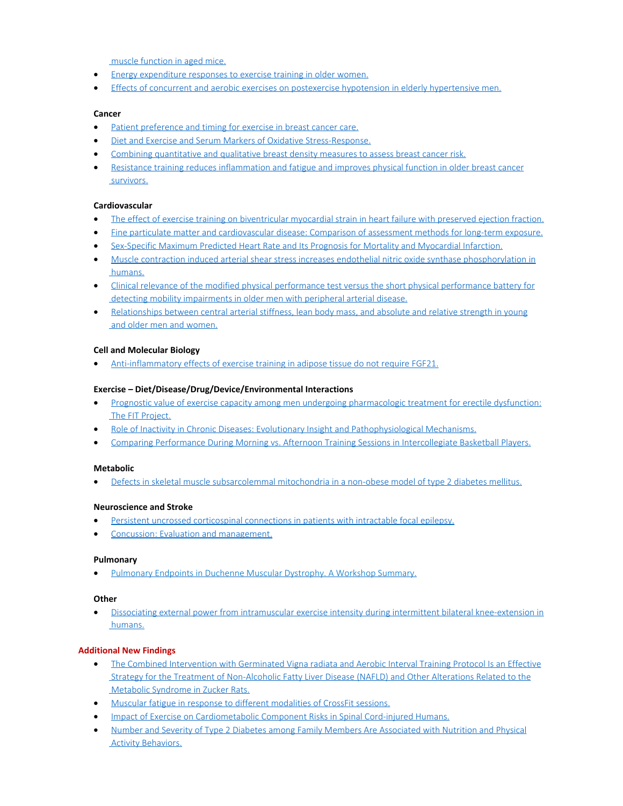[muscle function in aged mice.](https://www.ncbi.nlm.nih.gov/pubmed/28818411)

- [Energy expenditure responses to exercise training in older women.](https://www.ncbi.nlm.nih.gov/pubmed/28774950)
- · [Effects of concurrent and aerobic exercises on postexercise hypotension in elderly hypertensive men.](https://www.ncbi.nlm.nih.gov/pubmed/28804048)

# **Cancer**

- · [Patient preference and timing for exercise in breast cancer care.](http://www.ncbi.nlm.nih.gov/pubmed/28840334)
- · [Diet and Exercise and Serum Markers of Oxidative Stress-Response.](https://www.ncbi.nlm.nih.gov/pubmed/28698246)
- · [Combining quantitative and qualitative breast density measures to assess breast cancer risk.](https://www.ncbi.nlm.nih.gov/pubmed/28830497)
- · [Resistance training reduces inflammation and fatigue and improves physical function in older breast cancer](https://www.ncbi.nlm.nih.gov/pubmed/28832427)  [survivors.](https://www.ncbi.nlm.nih.gov/pubmed/28832427)

# **Cardiovascular**

- [The effect of exercise training on biventricular myocardial strain in heart failure with preserved ejection fraction.](https://www.ncbi.nlm.nih.gov/pubmed/28772048)
- · [Fine particulate matter and cardiovascular disease: Comparison of assessment methods for long-term exposure.](https://www.ncbi.nlm.nih.gov/pubmed/28763730)
- [Sex-Specific Maximum Predicted Heart Rate and Its Prognosis for Mortality and Myocardial Infarction.](https://www.ncbi.nlm.nih.gov/pubmed/28708776)
- · [Muscle contraction induced arterial shear stress increases endothelial nitric oxide synthase phosphorylation in](http://www.ncbi.nlm.nih.gov/pubmed/28801524)  [humans.](http://www.ncbi.nlm.nih.gov/pubmed/28801524)
- · [Clinical relevance of the modified physical performance test versus the short physical performance battery for](https://www.ncbi.nlm.nih.gov/pubmed/28835180)  [detecting mobility impairments in older men with peripheral arterial disease.](https://www.ncbi.nlm.nih.gov/pubmed/28835180)
- · [Relationships between central arterial stiffness, lean body mass, and absolute and relative strength in young](https://www.ncbi.nlm.nih.gov/pubmed/28815984) and older men and women.

# **Cell and Molecular Biology**

[Anti-inflammatory effects of exercise training in adipose tissue do not require FGF21.](https://www.ncbi.nlm.nih.gov/pubmed/28765264)

#### **Exercise – Diet/Disease/Drug/Device/Environmental Interactions**

- [Prognostic value of exercise capacity among men undergoing pharmacologic treatment for erectile dysfunction:](https://www.ncbi.nlm.nih.gov/pubmed/28805967)  [The FIT Project.](https://www.ncbi.nlm.nih.gov/pubmed/28805967)
- · [Role of Inactivity in Chronic Diseases: Evolutionary Insight and Pathophysiological Mechanisms.](https://www.ncbi.nlm.nih.gov/pubmed/28814614)
- · [Comparing Performance During Morning vs. Afternoon Training Sessions in Intercollegiate Basketball Players.](https://www.ncbi.nlm.nih.gov/pubmed/28538305)

#### **Metabolic**

· [Defects in skeletal muscle subsarcolemmal mitochondria in a non-obese model of type 2 diabetes mellitus.](https://www.ncbi.nlm.nih.gov/pubmed/28850625)

#### **Neuroscience and Stroke**

- [Persistent uncrossed corticospinal connections in patients with intractable focal epilepsy.](https://www.ncbi.nlm.nih.gov/pubmed/28830029)
- · [Concussion: Evaluation and management.](https://www.ncbi.nlm.nih.gov/pubmed/28806161)

#### **Pulmonary**

· [Pulmonary Endpoints in Duchenne Muscular Dystrophy. A Workshop Summary.](https://www.ncbi.nlm.nih.gov/pubmed/28636407)

#### **Other**

· [Dissociating external power from intramuscular exercise intensity during intermittent bilateral knee-extension in](https://www.ncbi.nlm.nih.gov/pubmed/28776675)  [humans.](https://www.ncbi.nlm.nih.gov/pubmed/28776675)

# **Additional New Findings**

- · [The Combined Intervention with Germinated Vigna radiata and Aerobic Interval Training Protocol Is an Effective](http://www.ncbi.nlm.nih.gov/pubmed/28753963)  [Strategy for the Treatment of Non-Alcoholic Fatty Liver Disease \(NAFLD\) and Other Alterations Related to the](http://www.ncbi.nlm.nih.gov/pubmed/28753963)  [Metabolic Syndrome in Zucker Rats.](http://www.ncbi.nlm.nih.gov/pubmed/28753963)
- · [Muscular fatigue in response to different modalities of CrossFit sessions.](http://www.ncbi.nlm.nih.gov/pubmed/28753624)
- · [Impact of Exercise on Cardiometabolic Component Risks in Spinal Cord-injured Humans.](http://www.ncbi.nlm.nih.gov/pubmed/28753161)
- · [Number and Severity of Type 2 Diabetes among Family Members Are Associated with Nutrition and Physical](http://www.ncbi.nlm.nih.gov/pubmed/28752087)  [Activity Behaviors.](http://www.ncbi.nlm.nih.gov/pubmed/28752087)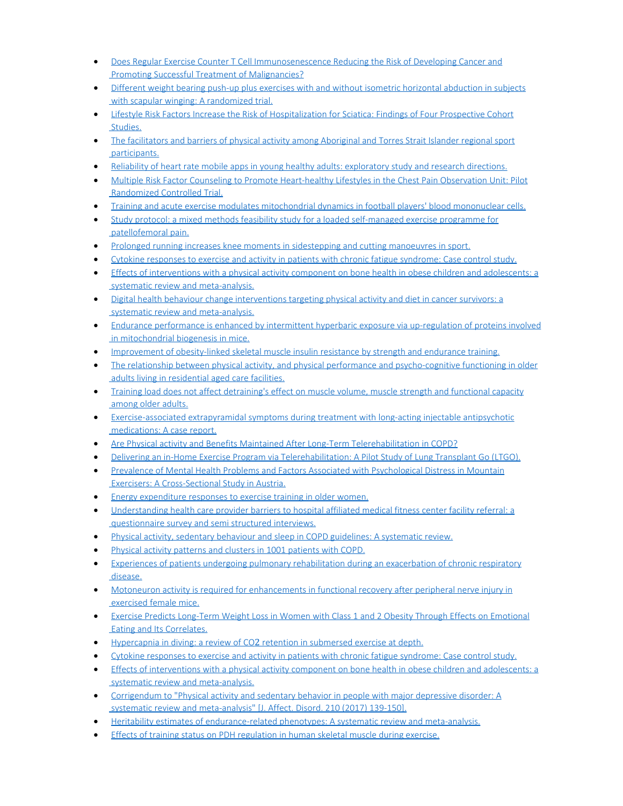- [Does Regular Exercise Counter T Cell Immunosenescence Reducing the Risk of Developing Cancer and](http://www.ncbi.nlm.nih.gov/pubmed/28751932)  [Promoting Successful Treatment of Malignancies?](http://www.ncbi.nlm.nih.gov/pubmed/28751932)
- · [Different weight bearing push-up plus exercises with and without isometric horizontal abduction in subjects](http://www.ncbi.nlm.nih.gov/pubmed/28750968) with scapular winging: A randomized trial.
- · [Lifestyle Risk Factors Increase the Risk of Hospitalization for Sciatica: Findings of Four Prospective Cohort](http://www.ncbi.nlm.nih.gov/pubmed/28750940)  [Studies.](http://www.ncbi.nlm.nih.gov/pubmed/28750940)
- · [The facilitators and barriers of physical activity among Aboriginal and Torres Strait Islander regional sport](http://www.ncbi.nlm.nih.gov/pubmed/28749566)  [participants.](http://www.ncbi.nlm.nih.gov/pubmed/28749566)
- [Reliability of heart rate mobile apps in young healthy adults: exploratory study and research directions.](http://www.ncbi.nlm.nih.gov/pubmed/28749320)
- · [Multiple Risk Factor Counseling to Promote Heart-healthy Lifestyles in the Chest Pain Observation Unit: Pilot](http://www.ncbi.nlm.nih.gov/pubmed/28748625)  [Randomized Controlled Trial.](http://www.ncbi.nlm.nih.gov/pubmed/28748625)
- · [Training and acute exercise modulates mitochondrial dynamics in football players' blood mononuclear cells.](http://www.ncbi.nlm.nih.gov/pubmed/28748372)
- [Study protocol: a mixed methods feasibility study for a loaded self-managed exercise programme for](http://www.ncbi.nlm.nih.gov/pubmed/28748107)  [patellofemoral pain.](http://www.ncbi.nlm.nih.gov/pubmed/28748107)
- · [Prolonged running increases knee moments in sidestepping and cutting manoeuvres in sport.](http://www.ncbi.nlm.nih.gov/pubmed/28754606)
- [Cytokine responses to exercise and activity in patients with chronic fatigue syndrome: Case control study.](http://www.ncbi.nlm.nih.gov/pubmed/28779554)
- · [Effects of interventions with a physical activity component on bone health in obese children and adolescents: a](http://www.ncbi.nlm.nih.gov/pubmed/28779404)  [systematic review and meta-analysis.](http://www.ncbi.nlm.nih.gov/pubmed/28779404)
- · [Digital health behaviour change interventions targeting physical activity and diet in cancer survivors: a](http://www.ncbi.nlm.nih.gov/pubmed/28779220)  [systematic review and meta-analysis.](http://www.ncbi.nlm.nih.gov/pubmed/28779220)
- · [Endurance performance is enhanced by intermittent hyperbaric exposure via up-regulation of proteins involved](http://www.ncbi.nlm.nih.gov/pubmed/28778990)  [in mitochondrial biogenesis in mice.](http://www.ncbi.nlm.nih.gov/pubmed/28778990)
- · [Improvement of obesity-linked skeletal muscle insulin resistance by strength and endurance training.](http://www.ncbi.nlm.nih.gov/pubmed/28778962)
- [The relationship between physical activity, and physical performance and psycho-cognitive functioning in older](http://www.ncbi.nlm.nih.gov/pubmed/28778824)  [adults living in residential aged care facilities.](http://www.ncbi.nlm.nih.gov/pubmed/28778824)
- · [Training load does not affect detraining's effect on muscle volume, muscle strength and functional capacity](http://www.ncbi.nlm.nih.gov/pubmed/28778747)  [among older adults.](http://www.ncbi.nlm.nih.gov/pubmed/28778747)
- [Exercise-associated extrapyramidal symptoms during treatment with long-acting injectable antipsychotic](http://www.ncbi.nlm.nih.gov/pubmed/28777027)  [medications: A case report.](http://www.ncbi.nlm.nih.gov/pubmed/28777027)
- · [Are Physical activity and Benefits Maintained After Long-Term Telerehabilitation in COPD?](http://www.ncbi.nlm.nih.gov/pubmed/28775800)
- · [Delivering an in-Home Exercise Program via Telerehabilitation: A Pilot Study of Lung Transplant Go \(LTGO\).](http://www.ncbi.nlm.nih.gov/pubmed/28775798)
- [Prevalence of Mental Health Problems and Factors Associated with Psychological Distress in Mountain](http://www.ncbi.nlm.nih.gov/pubmed/28775701)  [Exercisers: A Cross-Sectional Study in Austria.](http://www.ncbi.nlm.nih.gov/pubmed/28775701)
- · [Energy expenditure responses to exercise training in older women.](http://www.ncbi.nlm.nih.gov/pubmed/28774950)
- [Understanding health care provider barriers to hospital affiliated medical fitness center facility referral: a](http://www.ncbi.nlm.nih.gov/pubmed/28774290)  [questionnaire survey and semi structured interviews.](http://www.ncbi.nlm.nih.gov/pubmed/28774290)
- · [Physical activity, sedentary behaviour and sleep in COPD guidelines: A systematic review.](http://www.ncbi.nlm.nih.gov/pubmed/28774202)
- [Physical activity patterns and clusters in 1001 patients with COPD.](http://www.ncbi.nlm.nih.gov/pubmed/28774199)
- [Experiences of patients undergoing pulmonary rehabilitation during an exacerbation of chronic respiratory](http://www.ncbi.nlm.nih.gov/pubmed/28774198)  [disease.](http://www.ncbi.nlm.nih.gov/pubmed/28774198)
- · [Motoneuron activity is required for enhancements in functional recovery after peripheral nerve injury in](http://www.ncbi.nlm.nih.gov/pubmed/28771790)  [exercised female mice.](http://www.ncbi.nlm.nih.gov/pubmed/28771790)
- · [Exercise Predicts Long-Term Weight Loss in Women with Class 1 and 2 Obesity Through Effects on Emotional](http://www.ncbi.nlm.nih.gov/pubmed/28771085)  [Eating and Its Correlates.](http://www.ncbi.nlm.nih.gov/pubmed/28771085)
- · Hypercapnia in diving: a review of CO₂ [retention in submersed exercise at depth.](http://www.ncbi.nlm.nih.gov/pubmed/28779577)
- [Cytokine responses to exercise and activity in patients with chronic fatigue syndrome: Case control study.](http://www.ncbi.nlm.nih.gov/pubmed/28779554)
- · [Effects of interventions with a physical activity component on bone health in obese children and adolescents: a](http://www.ncbi.nlm.nih.gov/pubmed/28779404)  [systematic review and meta-analysis.](http://www.ncbi.nlm.nih.gov/pubmed/28779404)
- · [Corrigendum to "Physical activity and sedentary behavior in people with major depressive disorder: A](http://www.ncbi.nlm.nih.gov/pubmed/28802116)  [systematic review and meta-analysis" \[J. Affect. Disord. 210 \(2017\) 139-150\].](http://www.ncbi.nlm.nih.gov/pubmed/28802116)
- · [Heritability estimates of endurance-related phenotypes: A systematic review and meta-analysis.](http://www.ncbi.nlm.nih.gov/pubmed/28801974)
- [Effects of training status on PDH regulation in human skeletal muscle during exercise.](http://www.ncbi.nlm.nih.gov/pubmed/28801776)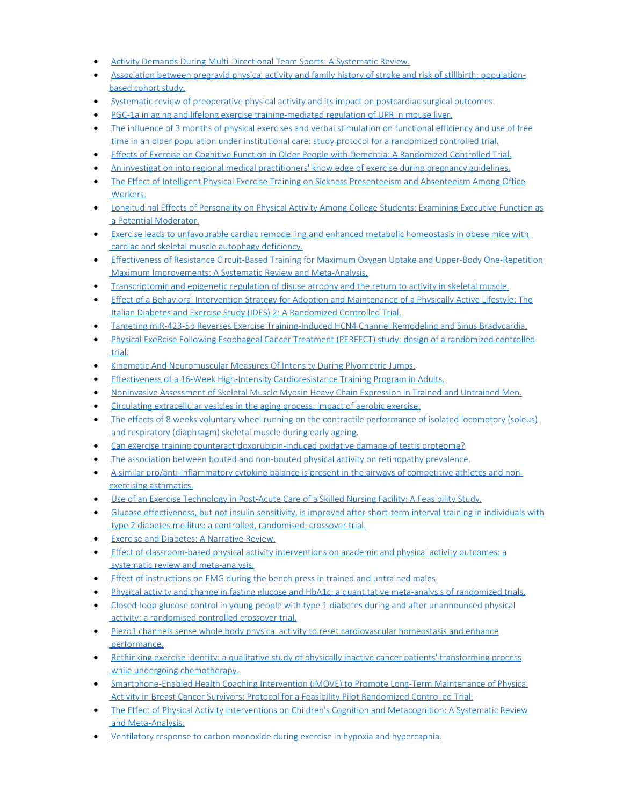- [Activity Demands During Multi-Directional Team Sports: A Systematic Review.](http://www.ncbi.nlm.nih.gov/pubmed/28801751)
- · [Association between pregravid physical activity and family history of stroke and risk of stillbirth: population](http://www.ncbi.nlm.nih.gov/pubmed/28801430)[based cohort study.](http://www.ncbi.nlm.nih.gov/pubmed/28801430)
- · [Systematic review of preoperative physical activity and its impact on postcardiac surgical outcomes.](http://www.ncbi.nlm.nih.gov/pubmed/28801404)
- · [PGC-1a in aging and lifelong exercise training-mediated regulation of UPR in mouse liver.](http://www.ncbi.nlm.nih.gov/pubmed/28801170)
- The influence of 3 [months of physical exercises and verbal stimulation on functional efficiency and use of free](http://www.ncbi.nlm.nih.gov/pubmed/28800755)  [time in an older population under institutional care: study protocol for a randomized controlled trial.](http://www.ncbi.nlm.nih.gov/pubmed/28800755)
- · [Effects of Exercise on Cognitive Function in Older People with Dementia: A Randomized Controlled Trial.](http://www.ncbi.nlm.nih.gov/pubmed/28800328)
- [An investigation into regional medical practitioners' knowledge of exercise during pregnancy guidelines.](http://www.ncbi.nlm.nih.gov/pubmed/28800191)
- · [The Effect of Intelligent Physical Exercise Training on Sickness Presenteeism and Absenteeism Among Office](http://www.ncbi.nlm.nih.gov/pubmed/28800039) **Workers**
- · [Longitudinal Effects of Personality on Physical Activity Among College Students: Examining Executive Function as](http://www.ncbi.nlm.nih.gov/pubmed/28799886)  [a Potential Moderator.](http://www.ncbi.nlm.nih.gov/pubmed/28799886)
- · [Exercise leads to unfavourable cardiac remodelling and enhanced metabolic homeostasis in obese mice with](http://www.ncbi.nlm.nih.gov/pubmed/28801668)  [cardiac and skeletal muscle autophagy deficiency.](http://www.ncbi.nlm.nih.gov/pubmed/28801668)
- · [Effectiveness of Resistance Circuit-Based Training for Maximum Oxygen Uptake and Upper-Body One-Repetition](http://www.ncbi.nlm.nih.gov/pubmed/28822112)  [Maximum Improvements: A Systematic Review and Meta-Analysis.](http://www.ncbi.nlm.nih.gov/pubmed/28822112)
- · [Transcriptomic and epigenetic regulation of disuse atrophy and the return to activity in skeletal muscle.](http://www.ncbi.nlm.nih.gov/pubmed/28821632)
- · [Effect of a Behavioral Intervention Strategy for Adoption and Maintenance of a Physically Active Lifestyle: The](http://www.ncbi.nlm.nih.gov/pubmed/28821576)  [Italian Diabetes and Exercise Study \(IDES\) 2: A Randomized Controlled Trial.](http://www.ncbi.nlm.nih.gov/pubmed/28821576)
- · [Targeting miR-423-5p Reverses Exercise Training-Induced HCN4 Channel Remodeling and Sinus Bradycardia.](http://www.ncbi.nlm.nih.gov/pubmed/28821541)
- · [Physical ExeRcise Following Esophageal Cancer Treatment \(PERFECT\) study: design of a randomized controlled](http://www.ncbi.nlm.nih.gov/pubmed/28821284)  [trial.](http://www.ncbi.nlm.nih.gov/pubmed/28821284)
- · [Kinematic And Neuromuscular Measures Of Intensity During Plyometric Jumps.](http://www.ncbi.nlm.nih.gov/pubmed/28820857)
- · [Effectiveness of a 16-Week High-Intensity Cardioresistance Training Program in Adults.](http://www.ncbi.nlm.nih.gov/pubmed/28820847)
- · [Noninvasive Assessment of Skeletal Muscle Myosin Heavy Chain Expression in Trained and Untrained Men.](http://www.ncbi.nlm.nih.gov/pubmed/28820846)
- · [Circulating extracellular vesicles in the aging process: impact of aerobic exercise.](http://www.ncbi.nlm.nih.gov/pubmed/28819811)
- [The effects of 8 weeks voluntary wheel running on the contractile performance of isolated locomotory \(soleus\)](http://www.ncbi.nlm.nih.gov/pubmed/28819051)  [and respiratory \(diaphragm\) skeletal muscle during early ageing.](http://www.ncbi.nlm.nih.gov/pubmed/28819051)
- [Can exercise training counteract doxorubicin-induced oxidative damage of testis proteome?](http://www.ncbi.nlm.nih.gov/pubmed/28818578)
- [The association between bouted and non-bouted physical activity on retinopathy prevalence.](http://www.ncbi.nlm.nih.gov/pubmed/28818533)
- · [A similar pro/anti-inflammatory cytokine balance is present in the airways of competitive athletes and non](http://www.ncbi.nlm.nih.gov/pubmed/28822267)[exercising asthmatics.](http://www.ncbi.nlm.nih.gov/pubmed/28822267)
- · [Use of an Exercise Technology in Post-Acute Care of a Skilled Nursing Facility: A Feasibility Study.](http://www.ncbi.nlm.nih.gov/pubmed/28843523)
- · [Glucose effectiveness, but not insulin sensitivity, is improved after short-term interval training in individuals with](http://www.ncbi.nlm.nih.gov/pubmed/28842722)  [type 2 diabetes mellitus: a controlled, randomised, crossover trial.](http://www.ncbi.nlm.nih.gov/pubmed/28842722)
- · [Exercise and Diabetes: A Narrative Review.](http://www.ncbi.nlm.nih.gov/pubmed/28842107)
- · [Effect of classroom-based physical activity interventions on academic and physical activity outcomes: a](http://www.ncbi.nlm.nih.gov/pubmed/28841890)  [systematic review and meta-analysis.](http://www.ncbi.nlm.nih.gov/pubmed/28841890)
- · [Effect of instructions on EMG during the bench press in trained and untrained males.](http://www.ncbi.nlm.nih.gov/pubmed/28841536)
- · [Physical activity and change in fasting glucose and HbA1c: a quantitative meta-analysis of randomized trials.](http://www.ncbi.nlm.nih.gov/pubmed/28840356)
- · [Closed-loop glucose control in young people with type 1 diabetes during and after unannounced physical](http://www.ncbi.nlm.nih.gov/pubmed/28840263)  [activity: a randomised controlled crossover trial.](http://www.ncbi.nlm.nih.gov/pubmed/28840263)
- [Piezo1 channels sense whole body physical activity to reset cardiovascular homeostasis and enhance](http://www.ncbi.nlm.nih.gov/pubmed/28839146)  [performance.](http://www.ncbi.nlm.nih.gov/pubmed/28839146)
- · [Rethinking exercise identity: a qualitative study of physically inactive cancer patients' transforming process](http://www.ncbi.nlm.nih.gov/pubmed/28838897) while undergoing chemotherapy.
- · [Smartphone-Enabled Health Coaching Intervention \(iMOVE\) to Promote Long-Term Maintenance of Physical](http://www.ncbi.nlm.nih.gov/pubmed/28838886)  [Activity in Breast Cancer Survivors: Protocol for a Feasibility Pilot Randomized Controlled Trial.](http://www.ncbi.nlm.nih.gov/pubmed/28838886)
- [The Effect of Physical Activity Interventions on Children's Cognition and Metacognition: A](http://www.ncbi.nlm.nih.gov/pubmed/28838577) Systematic Review and [Meta-Analysis.](http://www.ncbi.nlm.nih.gov/pubmed/28838577)
- · [Ventilatory response to carbon monoxide during exercise in hypoxia and hypercapnia.](http://www.ncbi.nlm.nih.gov/pubmed/28843676)